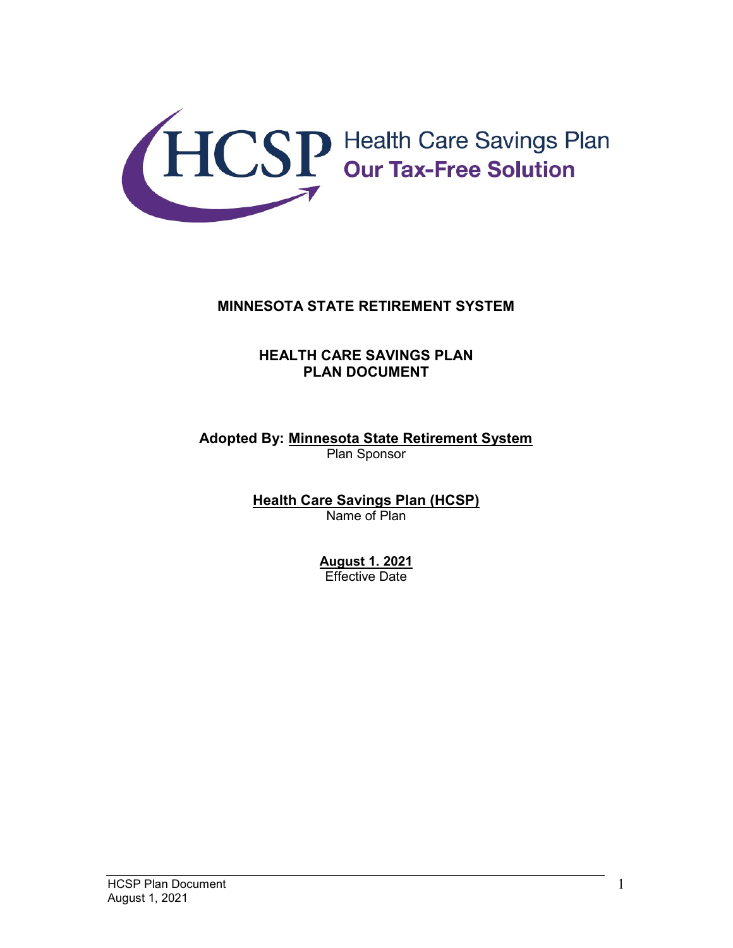

### MINNESOTA STATE RETIREMENT SYSTEM

### HEALTH CARE SAVINGS PLAN PLAN DOCUMENT

### Adopted By: Minnesota State Retirement System Plan Sponsor

Health Care Savings Plan (HCSP) Name of Plan

> August 1. 2021 Effective Date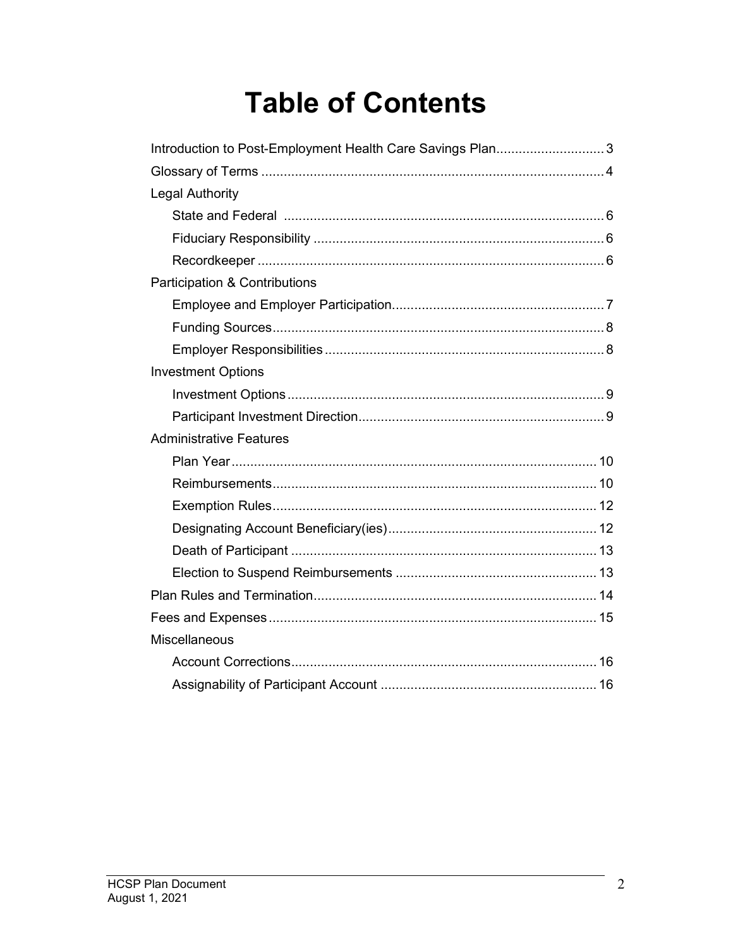# **Table of Contents**

| Introduction to Post-Employment Health Care Savings Plan3 |
|-----------------------------------------------------------|
|                                                           |
| Legal Authority                                           |
|                                                           |
|                                                           |
|                                                           |
| Participation & Contributions                             |
|                                                           |
|                                                           |
|                                                           |
| <b>Investment Options</b>                                 |
|                                                           |
|                                                           |
| <b>Administrative Features</b>                            |
|                                                           |
|                                                           |
|                                                           |
|                                                           |
|                                                           |
|                                                           |
|                                                           |
|                                                           |
| Miscellaneous                                             |
|                                                           |
|                                                           |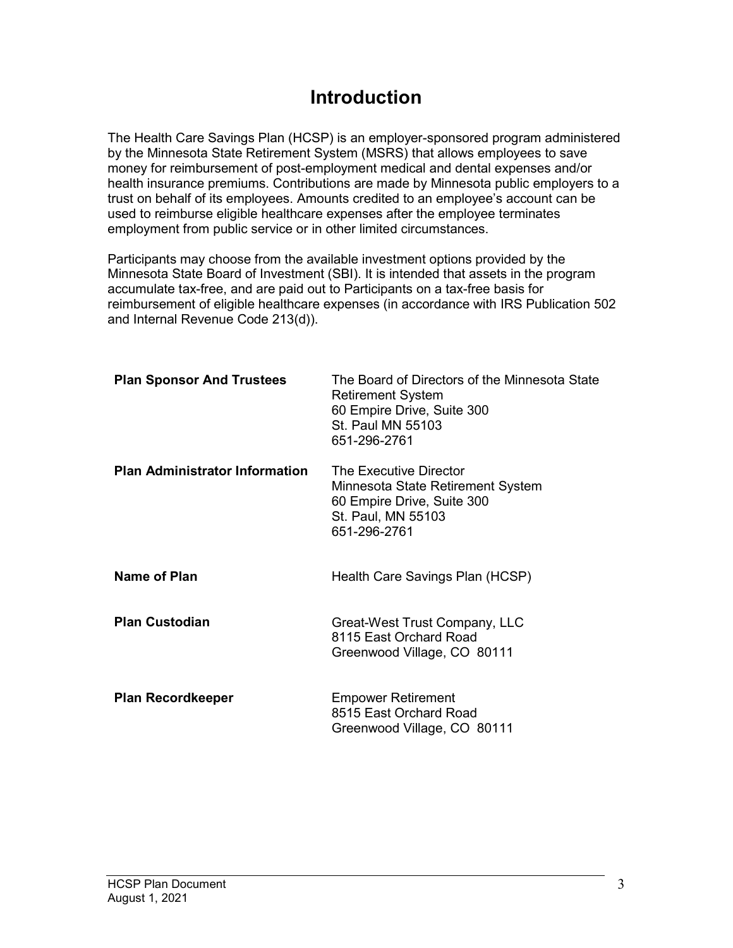# Introduction

The Health Care Savings Plan (HCSP) is an employer-sponsored program administered by the Minnesota State Retirement System (MSRS) that allows employees to save money for reimbursement of post-employment medical and dental expenses and/or health insurance premiums. Contributions are made by Minnesota public employers to a trust on behalf of its employees. Amounts credited to an employee's account can be used to reimburse eligible healthcare expenses after the employee terminates employment from public service or in other limited circumstances.

Participants may choose from the available investment options provided by the Minnesota State Board of Investment (SBI). It is intended that assets in the program accumulate tax-free, and are paid out to Participants on a tax-free basis for reimbursement of eligible healthcare expenses (in accordance with IRS Publication 502 and Internal Revenue Code 213(d)).

| <b>Plan Sponsor And Trustees</b>      | The Board of Directors of the Minnesota State<br><b>Retirement System</b><br>60 Empire Drive, Suite 300<br>St. Paul MN 55103<br>651-296-2761 |
|---------------------------------------|----------------------------------------------------------------------------------------------------------------------------------------------|
| <b>Plan Administrator Information</b> | The Executive Director<br>Minnesota State Retirement System<br>60 Empire Drive, Suite 300<br>St. Paul, MN 55103<br>651-296-2761              |
| <b>Name of Plan</b>                   | Health Care Savings Plan (HCSP)                                                                                                              |
| <b>Plan Custodian</b>                 | Great-West Trust Company, LLC<br>8115 East Orchard Road<br>Greenwood Village, CO 80111                                                       |
| <b>Plan Recordkeeper</b>              | <b>Empower Retirement</b><br>8515 East Orchard Road<br>Greenwood Village, CO 80111                                                           |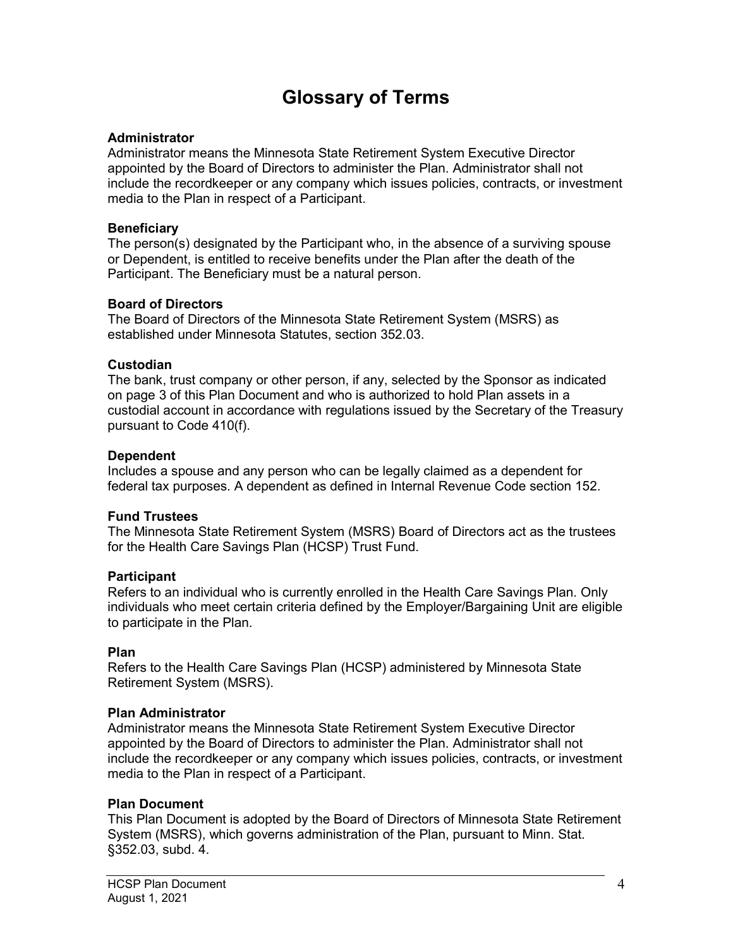# Glossary of Terms

#### **Administrator**

Administrator means the Minnesota State Retirement System Executive Director appointed by the Board of Directors to administer the Plan. Administrator shall not include the recordkeeper or any company which issues policies, contracts, or investment media to the Plan in respect of a Participant.

#### **Beneficiary**

The person(s) designated by the Participant who, in the absence of a surviving spouse or Dependent, is entitled to receive benefits under the Plan after the death of the Participant. The Beneficiary must be a natural person.

#### Board of Directors

The Board of Directors of the Minnesota State Retirement System (MSRS) as established under Minnesota Statutes, section 352.03.

#### **Custodian**

The bank, trust company or other person, if any, selected by the Sponsor as indicated on page 3 of this Plan Document and who is authorized to hold Plan assets in a custodial account in accordance with regulations issued by the Secretary of the Treasury pursuant to Code 410(f).

#### Dependent

Includes a spouse and any person who can be legally claimed as a dependent for federal tax purposes. A dependent as defined in Internal Revenue Code section 152.

### Fund Trustees

The Minnesota State Retirement System (MSRS) Board of Directors act as the trustees for the Health Care Savings Plan (HCSP) Trust Fund.

#### **Participant**

Refers to an individual who is currently enrolled in the Health Care Savings Plan. Only individuals who meet certain criteria defined by the Employer/Bargaining Unit are eligible to participate in the Plan.

### Plan

Refers to the Health Care Savings Plan (HCSP) administered by Minnesota State Retirement System (MSRS).

#### Plan Administrator

Administrator means the Minnesota State Retirement System Executive Director appointed by the Board of Directors to administer the Plan. Administrator shall not include the recordkeeper or any company which issues policies, contracts, or investment media to the Plan in respect of a Participant.

### Plan Document

This Plan Document is adopted by the Board of Directors of Minnesota State Retirement System (MSRS), which governs administration of the Plan, pursuant to Minn. Stat. §352.03, subd. 4.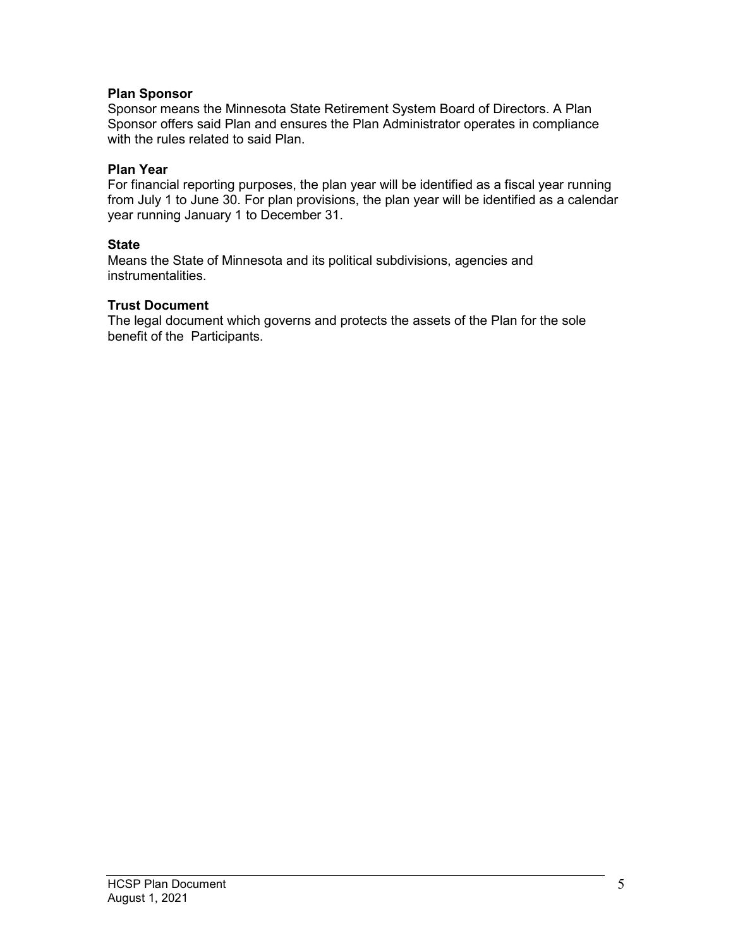### Plan Sponsor

Sponsor means the Minnesota State Retirement System Board of Directors. A Plan Sponsor offers said Plan and ensures the Plan Administrator operates in compliance with the rules related to said Plan.

#### Plan Year

For financial reporting purposes, the plan year will be identified as a fiscal year running from July 1 to June 30. For plan provisions, the plan year will be identified as a calendar year running January 1 to December 31.

#### **State**

Means the State of Minnesota and its political subdivisions, agencies and instrumentalities.

#### Trust Document

The legal document which governs and protects the assets of the Plan for the sole benefit of the Participants.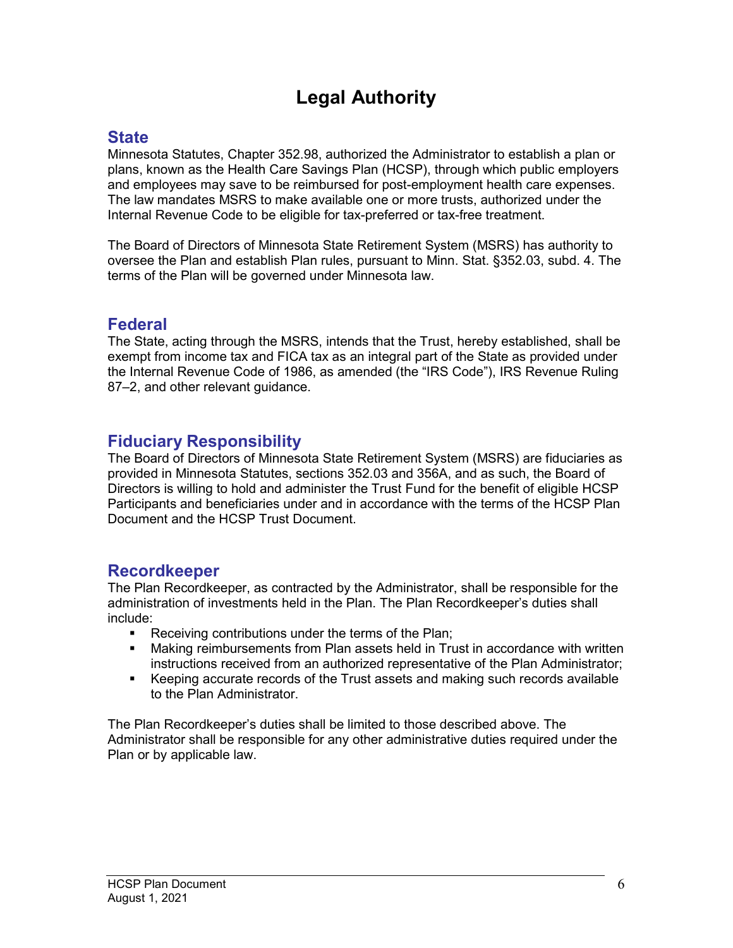# Legal Authority

# **State**

Minnesota Statutes, Chapter 352.98, authorized the Administrator to establish a plan or plans, known as the Health Care Savings Plan (HCSP), through which public employers and employees may save to be reimbursed for post-employment health care expenses. The law mandates MSRS to make available one or more trusts, authorized under the Internal Revenue Code to be eligible for tax-preferred or tax-free treatment.

The Board of Directors of Minnesota State Retirement System (MSRS) has authority to oversee the Plan and establish Plan rules, pursuant to Minn. Stat. §352.03, subd. 4. The terms of the Plan will be governed under Minnesota law.

# Federal

The State, acting through the MSRS, intends that the Trust, hereby established, shall be exempt from income tax and FICA tax as an integral part of the State as provided under the Internal Revenue Code of 1986, as amended (the "IRS Code"), IRS Revenue Ruling 87–2, and other relevant guidance.

# Fiduciary Responsibility

The Board of Directors of Minnesota State Retirement System (MSRS) are fiduciaries as provided in Minnesota Statutes, sections 352.03 and 356A, and as such, the Board of Directors is willing to hold and administer the Trust Fund for the benefit of eligible HCSP Participants and beneficiaries under and in accordance with the terms of the HCSP Plan Document and the HCSP Trust Document.

### Recordkeeper

The Plan Recordkeeper, as contracted by the Administrator, shall be responsible for the administration of investments held in the Plan. The Plan Recordkeeper's duties shall include:

- **Receiving contributions under the terms of the Plan;**
- Making reimbursements from Plan assets held in Trust in accordance with written instructions received from an authorized representative of the Plan Administrator;
- Keeping accurate records of the Trust assets and making such records available to the Plan Administrator.

The Plan Recordkeeper's duties shall be limited to those described above. The Administrator shall be responsible for any other administrative duties required under the Plan or by applicable law.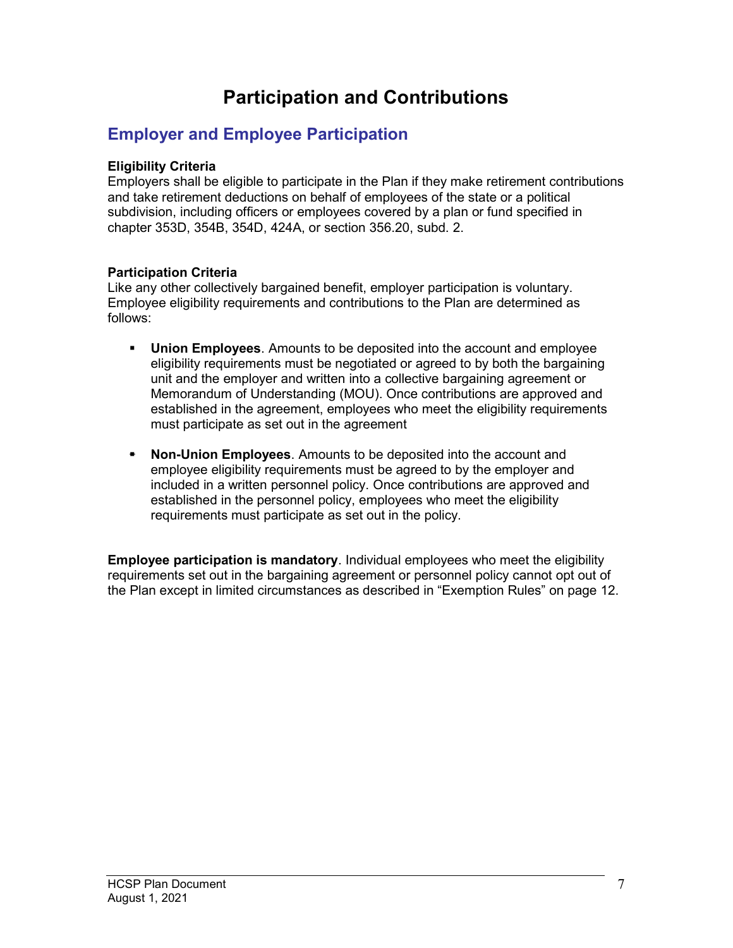# Participation and Contributions

# Employer and Employee Participation

### Eligibility Criteria

Employers shall be eligible to participate in the Plan if they make retirement contributions and take retirement deductions on behalf of employees of the state or a political subdivision, including officers or employees covered by a plan or fund specified in chapter 353D, 354B, 354D, 424A, or section 356.20, subd. 2.

### Participation Criteria

Like any other collectively bargained benefit, employer participation is voluntary. Employee eligibility requirements and contributions to the Plan are determined as follows:

- **Union Employees**. Amounts to be deposited into the account and employee eligibility requirements must be negotiated or agreed to by both the bargaining unit and the employer and written into a collective bargaining agreement or Memorandum of Understanding (MOU). Once contributions are approved and established in the agreement, employees who meet the eligibility requirements must participate as set out in the agreement
- Non-Union Employees. Amounts to be deposited into the account and employee eligibility requirements must be agreed to by the employer and included in a written personnel policy. Once contributions are approved and established in the personnel policy, employees who meet the eligibility requirements must participate as set out in the policy.

Employee participation is mandatory. Individual employees who meet the eligibility requirements set out in the bargaining agreement or personnel policy cannot opt out of the Plan except in limited circumstances as described in "Exemption Rules" on page 12.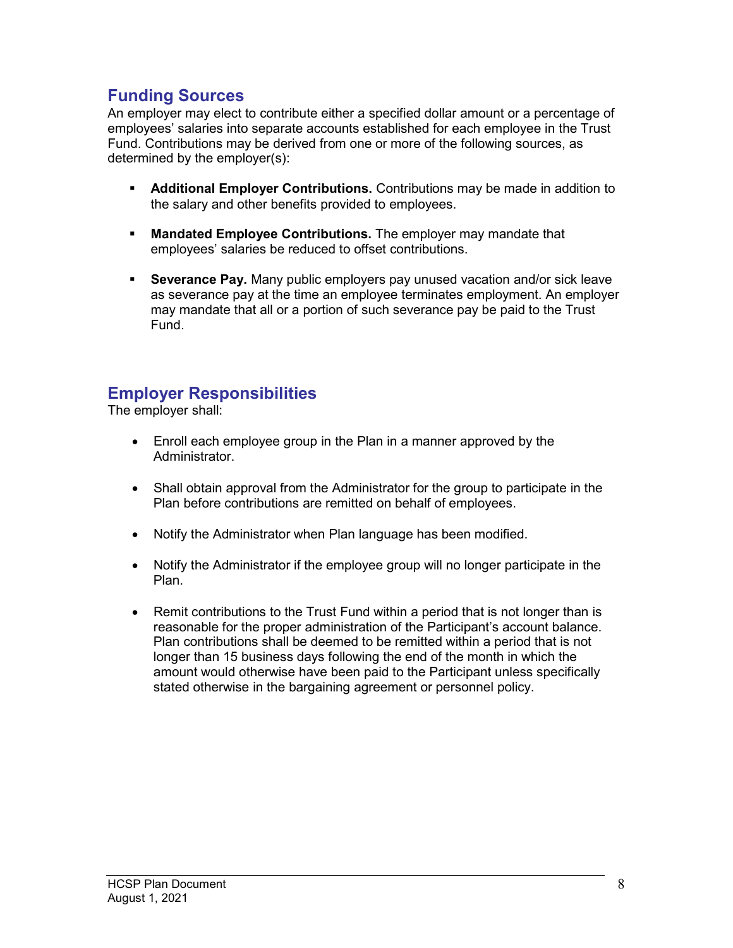# Funding Sources

An employer may elect to contribute either a specified dollar amount or a percentage of employees' salaries into separate accounts established for each employee in the Trust Fund. Contributions may be derived from one or more of the following sources, as determined by the employer(s):

- **Additional Employer Contributions.** Contributions may be made in addition to the salary and other benefits provided to employees.
- **Mandated Employee Contributions.** The employer may mandate that employees' salaries be reduced to offset contributions.
- **Severance Pay.** Many public employers pay unused vacation and/or sick leave as severance pay at the time an employee terminates employment. An employer may mandate that all or a portion of such severance pay be paid to the Trust Fund.

### Employer Responsibilities

The employer shall:

- Enroll each employee group in the Plan in a manner approved by the Administrator.
- Shall obtain approval from the Administrator for the group to participate in the Plan before contributions are remitted on behalf of employees.
- Notify the Administrator when Plan language has been modified.
- Notify the Administrator if the employee group will no longer participate in the Plan.
- Remit contributions to the Trust Fund within a period that is not longer than is reasonable for the proper administration of the Participant's account balance. Plan contributions shall be deemed to be remitted within a period that is not longer than 15 business days following the end of the month in which the amount would otherwise have been paid to the Participant unless specifically stated otherwise in the bargaining agreement or personnel policy.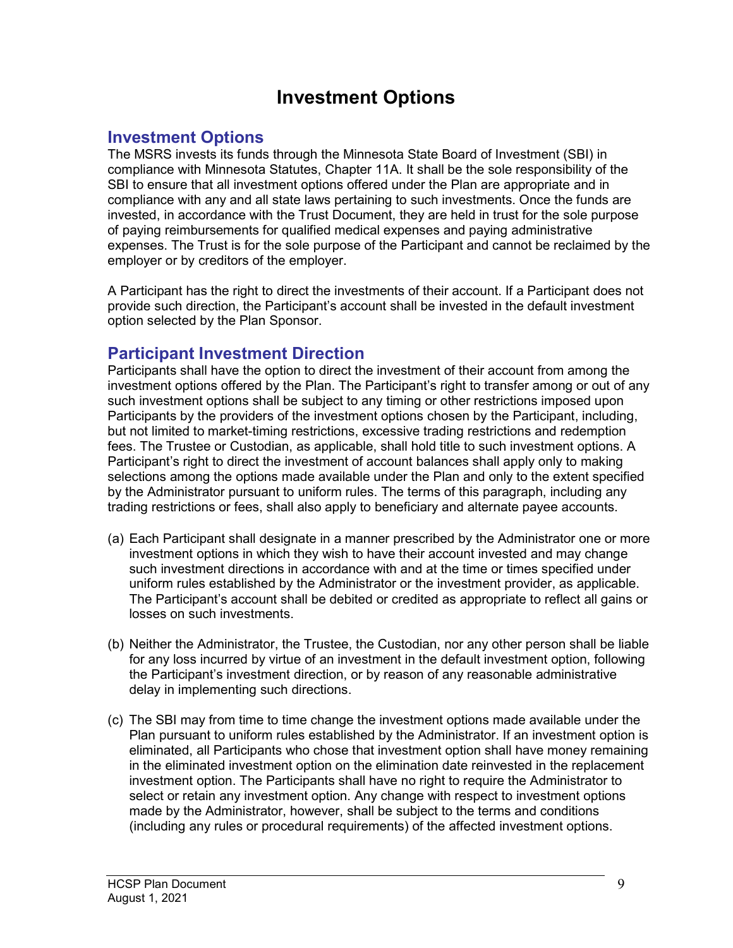# Investment Options

# Investment Options

The MSRS invests its funds through the Minnesota State Board of Investment (SBI) in compliance with Minnesota Statutes, Chapter 11A. It shall be the sole responsibility of the SBI to ensure that all investment options offered under the Plan are appropriate and in compliance with any and all state laws pertaining to such investments. Once the funds are invested, in accordance with the Trust Document, they are held in trust for the sole purpose of paying reimbursements for qualified medical expenses and paying administrative expenses. The Trust is for the sole purpose of the Participant and cannot be reclaimed by the employer or by creditors of the employer.

A Participant has the right to direct the investments of their account. If a Participant does not provide such direction, the Participant's account shall be invested in the default investment option selected by the Plan Sponsor.

# Participant Investment Direction

Participants shall have the option to direct the investment of their account from among the investment options offered by the Plan. The Participant's right to transfer among or out of any such investment options shall be subject to any timing or other restrictions imposed upon Participants by the providers of the investment options chosen by the Participant, including, but not limited to market-timing restrictions, excessive trading restrictions and redemption fees. The Trustee or Custodian, as applicable, shall hold title to such investment options. A Participant's right to direct the investment of account balances shall apply only to making selections among the options made available under the Plan and only to the extent specified by the Administrator pursuant to uniform rules. The terms of this paragraph, including any trading restrictions or fees, shall also apply to beneficiary and alternate payee accounts.

- (a) Each Participant shall designate in a manner prescribed by the Administrator one or more investment options in which they wish to have their account invested and may change such investment directions in accordance with and at the time or times specified under uniform rules established by the Administrator or the investment provider, as applicable. The Participant's account shall be debited or credited as appropriate to reflect all gains or losses on such investments.
- (b) Neither the Administrator, the Trustee, the Custodian, nor any other person shall be liable for any loss incurred by virtue of an investment in the default investment option, following the Participant's investment direction, or by reason of any reasonable administrative delay in implementing such directions.
- (c) The SBI may from time to time change the investment options made available under the Plan pursuant to uniform rules established by the Administrator. If an investment option is eliminated, all Participants who chose that investment option shall have money remaining in the eliminated investment option on the elimination date reinvested in the replacement investment option. The Participants shall have no right to require the Administrator to select or retain any investment option. Any change with respect to investment options made by the Administrator, however, shall be subject to the terms and conditions (including any rules or procedural requirements) of the affected investment options.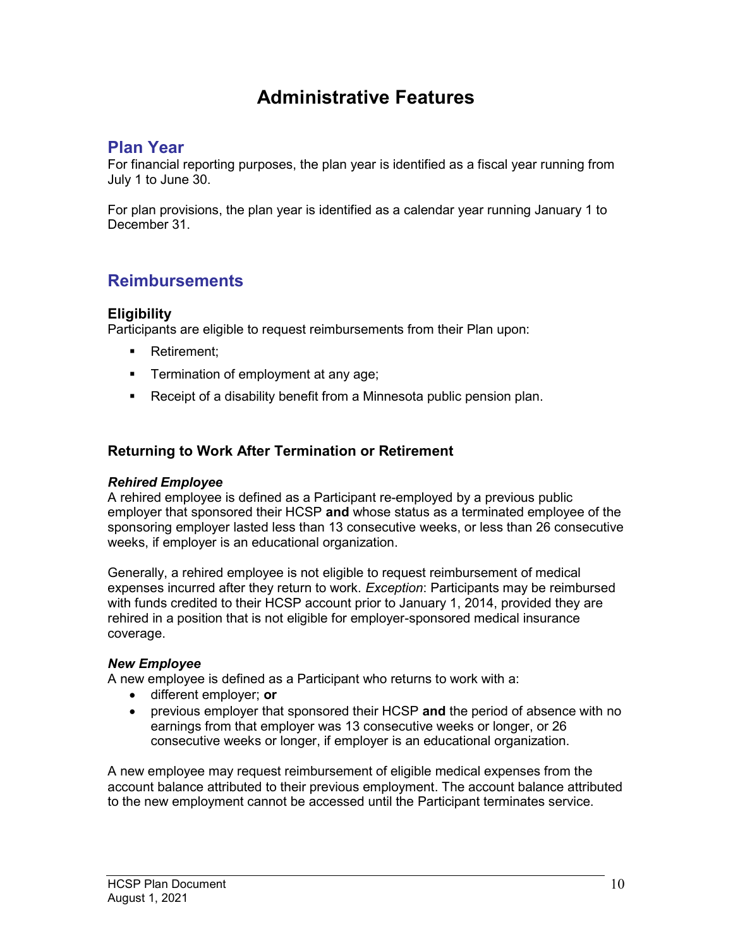# Administrative Features

# Plan Year

For financial reporting purposes, the plan year is identified as a fiscal year running from July 1 to June 30.

For plan provisions, the plan year is identified as a calendar year running January 1 to December 31.

# **Reimbursements**

### **Eligibility**

Participants are eligible to request reimbursements from their Plan upon:

- **Retirement:**
- **Termination of employment at any age;**
- **Receipt of a disability benefit from a Minnesota public pension plan.**

### Returning to Work After Termination or Retirement

### Rehired Employee

A rehired employee is defined as a Participant re-employed by a previous public employer that sponsored their HCSP and whose status as a terminated employee of the sponsoring employer lasted less than 13 consecutive weeks, or less than 26 consecutive weeks, if employer is an educational organization.

Generally, a rehired employee is not eligible to request reimbursement of medical expenses incurred after they return to work. *Exception*: Participants may be reimbursed with funds credited to their HCSP account prior to January 1, 2014, provided they are rehired in a position that is not eligible for employer-sponsored medical insurance coverage.

### New Employee

A new employee is defined as a Participant who returns to work with a:

- different employer; or
- previous employer that sponsored their HCSP and the period of absence with no earnings from that employer was 13 consecutive weeks or longer, or 26 consecutive weeks or longer, if employer is an educational organization.

A new employee may request reimbursement of eligible medical expenses from the account balance attributed to their previous employment. The account balance attributed to the new employment cannot be accessed until the Participant terminates service.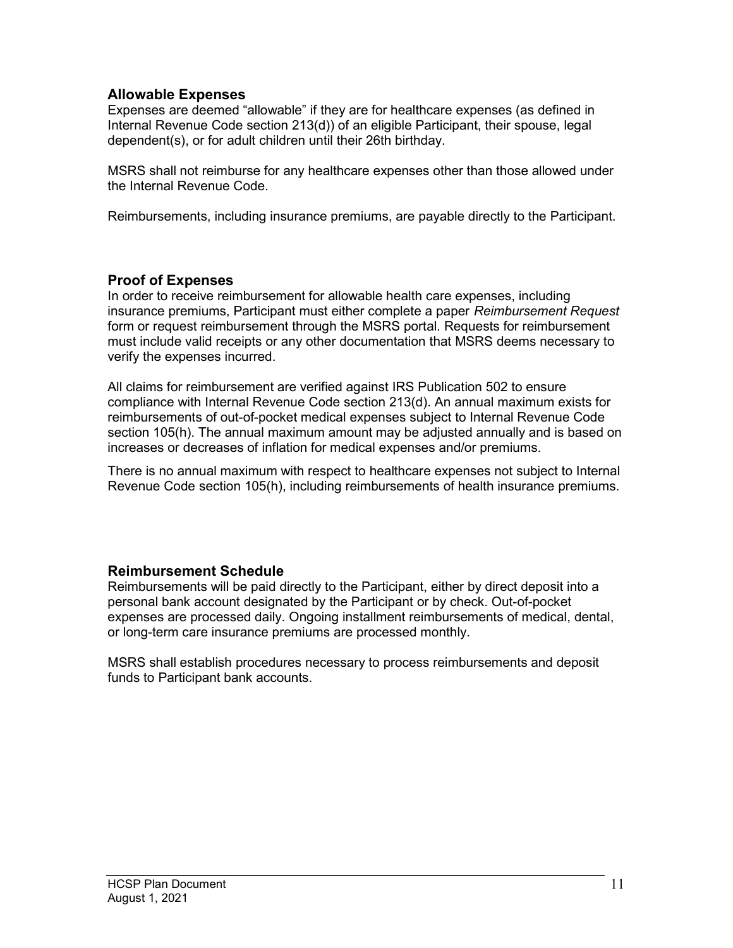### Allowable Expenses

Expenses are deemed "allowable" if they are for healthcare expenses (as defined in Internal Revenue Code section 213(d)) of an eligible Participant, their spouse, legal dependent(s), or for adult children until their 26th birthday.

MSRS shall not reimburse for any healthcare expenses other than those allowed under the Internal Revenue Code.

Reimbursements, including insurance premiums, are payable directly to the Participant.

### Proof of Expenses

In order to receive reimbursement for allowable health care expenses, including insurance premiums, Participant must either complete a paper Reimbursement Request form or request reimbursement through the MSRS portal. Requests for reimbursement must include valid receipts or any other documentation that MSRS deems necessary to verify the expenses incurred.

All claims for reimbursement are verified against IRS Publication 502 to ensure compliance with Internal Revenue Code section 213(d). An annual maximum exists for reimbursements of out-of-pocket medical expenses subject to Internal Revenue Code section 105(h). The annual maximum amount may be adjusted annually and is based on increases or decreases of inflation for medical expenses and/or premiums.

There is no annual maximum with respect to healthcare expenses not subject to Internal Revenue Code section 105(h), including reimbursements of health insurance premiums.

### Reimbursement Schedule

Reimbursements will be paid directly to the Participant, either by direct deposit into a personal bank account designated by the Participant or by check. Out-of-pocket expenses are processed daily. Ongoing installment reimbursements of medical, dental, or long-term care insurance premiums are processed monthly.

MSRS shall establish procedures necessary to process reimbursements and deposit funds to Participant bank accounts.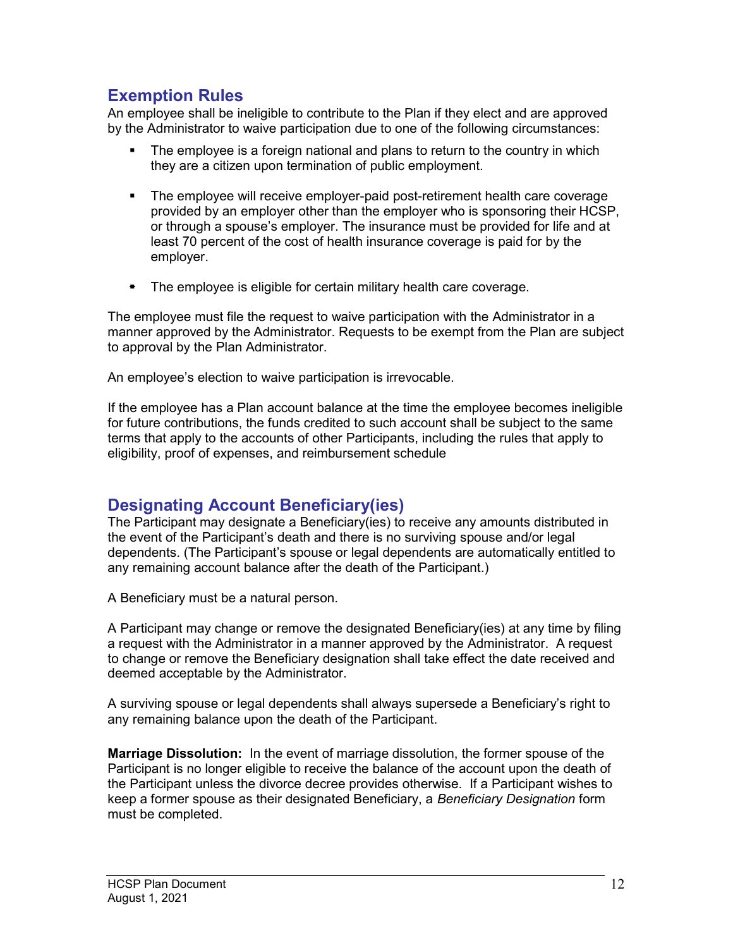### Exemption Rules

An employee shall be ineligible to contribute to the Plan if they elect and are approved by the Administrator to waive participation due to one of the following circumstances:

- The employee is a foreign national and plans to return to the country in which they are a citizen upon termination of public employment.
- The employee will receive employer-paid post-retirement health care coverage provided by an employer other than the employer who is sponsoring their HCSP, or through a spouse's employer. The insurance must be provided for life and at least 70 percent of the cost of health insurance coverage is paid for by the employer.
- The employee is eligible for certain military health care coverage.

The employee must file the request to waive participation with the Administrator in a manner approved by the Administrator. Requests to be exempt from the Plan are subject to approval by the Plan Administrator.

An employee's election to waive participation is irrevocable.

If the employee has a Plan account balance at the time the employee becomes ineligible for future contributions, the funds credited to such account shall be subject to the same terms that apply to the accounts of other Participants, including the rules that apply to eligibility, proof of expenses, and reimbursement schedule

# Designating Account Beneficiary(ies)

The Participant may designate a Beneficiary(ies) to receive any amounts distributed in the event of the Participant's death and there is no surviving spouse and/or legal dependents. (The Participant's spouse or legal dependents are automatically entitled to any remaining account balance after the death of the Participant.)

A Beneficiary must be a natural person.

A Participant may change or remove the designated Beneficiary(ies) at any time by filing a request with the Administrator in a manner approved by the Administrator. A request to change or remove the Beneficiary designation shall take effect the date received and deemed acceptable by the Administrator.

A surviving spouse or legal dependents shall always supersede a Beneficiary's right to any remaining balance upon the death of the Participant.

Marriage Dissolution: In the event of marriage dissolution, the former spouse of the Participant is no longer eligible to receive the balance of the account upon the death of the Participant unless the divorce decree provides otherwise. If a Participant wishes to keep a former spouse as their designated Beneficiary, a Beneficiary Designation form must be completed.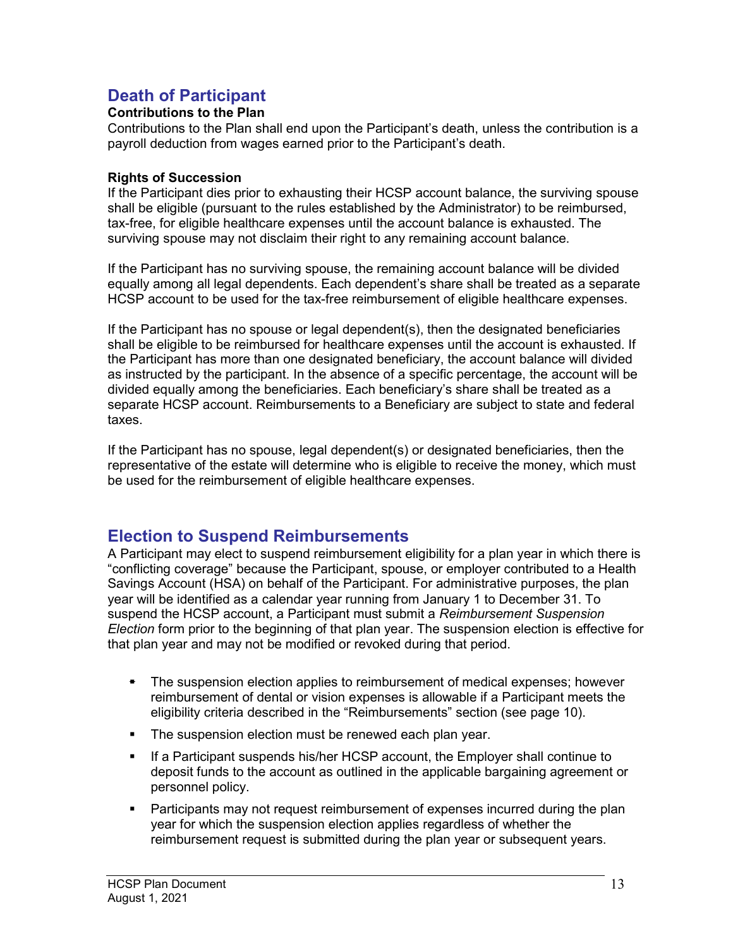# Death of Participant

### Contributions to the Plan

Contributions to the Plan shall end upon the Participant's death, unless the contribution is a payroll deduction from wages earned prior to the Participant's death.

### Rights of Succession

If the Participant dies prior to exhausting their HCSP account balance, the surviving spouse shall be eligible (pursuant to the rules established by the Administrator) to be reimbursed, tax-free, for eligible healthcare expenses until the account balance is exhausted. The surviving spouse may not disclaim their right to any remaining account balance.

If the Participant has no surviving spouse, the remaining account balance will be divided equally among all legal dependents. Each dependent's share shall be treated as a separate HCSP account to be used for the tax-free reimbursement of eligible healthcare expenses.

If the Participant has no spouse or legal dependent(s), then the designated beneficiaries shall be eligible to be reimbursed for healthcare expenses until the account is exhausted. If the Participant has more than one designated beneficiary, the account balance will divided as instructed by the participant. In the absence of a specific percentage, the account will be divided equally among the beneficiaries. Each beneficiary's share shall be treated as a separate HCSP account. Reimbursements to a Beneficiary are subject to state and federal taxes.

If the Participant has no spouse, legal dependent(s) or designated beneficiaries, then the representative of the estate will determine who is eligible to receive the money, which must be used for the reimbursement of eligible healthcare expenses.

### Election to Suspend Reimbursements

A Participant may elect to suspend reimbursement eligibility for a plan year in which there is "conflicting coverage" because the Participant, spouse, or employer contributed to a Health Savings Account (HSA) on behalf of the Participant. For administrative purposes, the plan year will be identified as a calendar year running from January 1 to December 31. To suspend the HCSP account, a Participant must submit a Reimbursement Suspension Election form prior to the beginning of that plan year. The suspension election is effective for that plan year and may not be modified or revoked during that period.

- The suspension election applies to reimbursement of medical expenses; however reimbursement of dental or vision expenses is allowable if a Participant meets the eligibility criteria described in the "Reimbursements" section (see page 10).
- The suspension election must be renewed each plan year.
- **If a Participant suspends his/her HCSP account, the Employer shall continue to** deposit funds to the account as outlined in the applicable bargaining agreement or personnel policy.
- **Participants may not request reimbursement of expenses incurred during the plan** year for which the suspension election applies regardless of whether the reimbursement request is submitted during the plan year or subsequent years.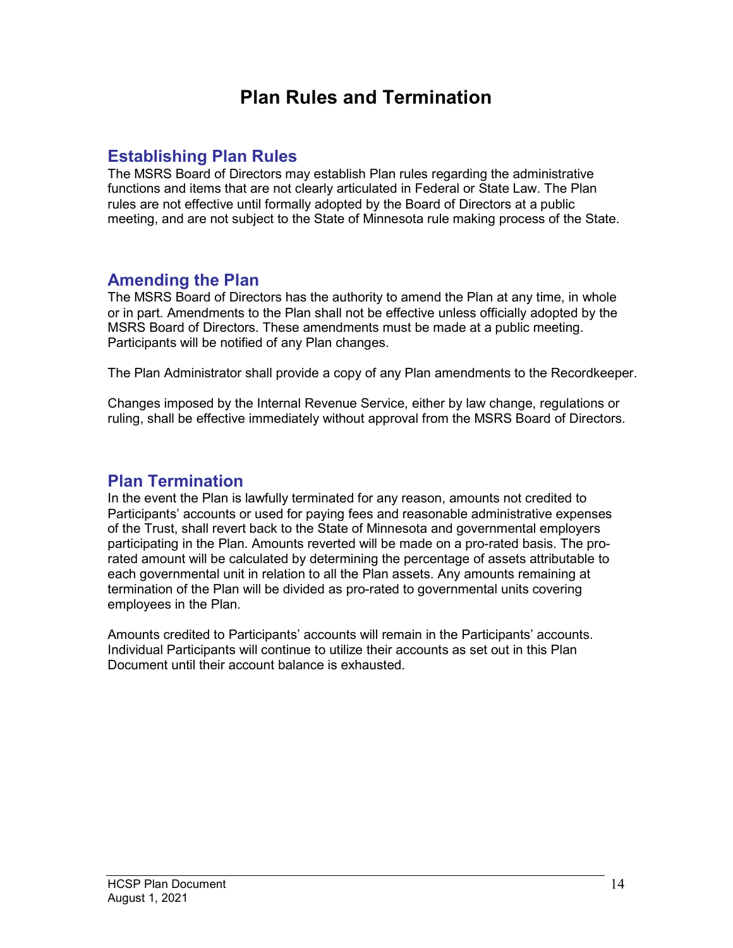# Plan Rules and Termination

### Establishing Plan Rules

The MSRS Board of Directors may establish Plan rules regarding the administrative functions and items that are not clearly articulated in Federal or State Law. The Plan rules are not effective until formally adopted by the Board of Directors at a public meeting, and are not subject to the State of Minnesota rule making process of the State.

### Amending the Plan

The MSRS Board of Directors has the authority to amend the Plan at any time, in whole or in part. Amendments to the Plan shall not be effective unless officially adopted by the MSRS Board of Directors. These amendments must be made at a public meeting. Participants will be notified of any Plan changes.

The Plan Administrator shall provide a copy of any Plan amendments to the Recordkeeper.

Changes imposed by the Internal Revenue Service, either by law change, regulations or ruling, shall be effective immediately without approval from the MSRS Board of Directors.

### Plan Termination

In the event the Plan is lawfully terminated for any reason, amounts not credited to Participants' accounts or used for paying fees and reasonable administrative expenses of the Trust, shall revert back to the State of Minnesota and governmental employers participating in the Plan. Amounts reverted will be made on a pro-rated basis. The prorated amount will be calculated by determining the percentage of assets attributable to each governmental unit in relation to all the Plan assets. Any amounts remaining at termination of the Plan will be divided as pro-rated to governmental units covering employees in the Plan.

Amounts credited to Participants' accounts will remain in the Participants' accounts. Individual Participants will continue to utilize their accounts as set out in this Plan Document until their account balance is exhausted.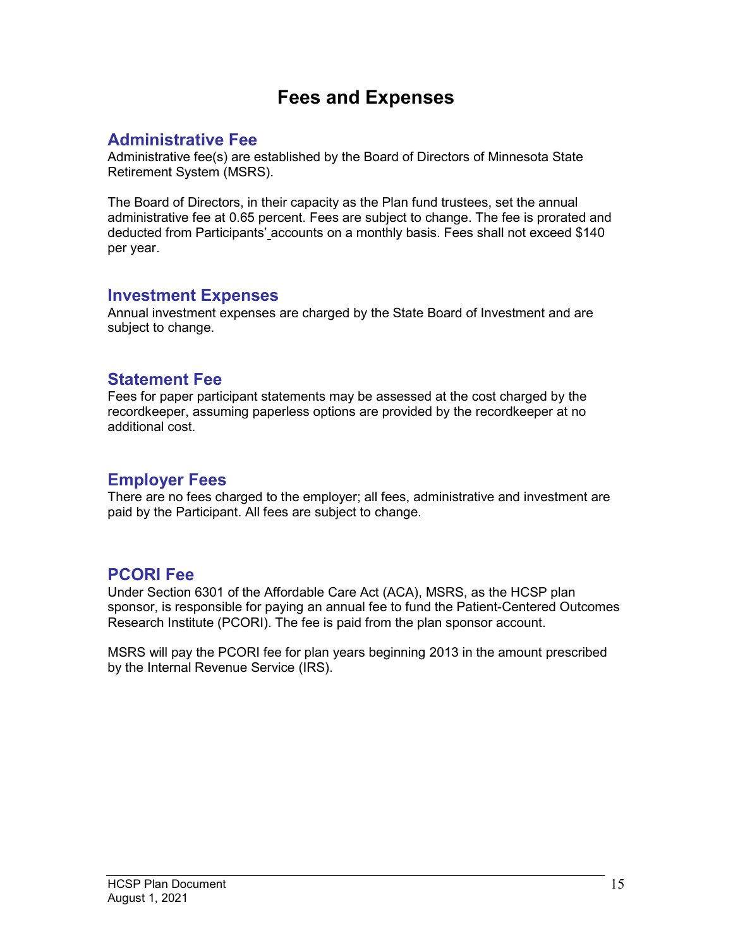# Fees and Expenses

# Administrative Fee

Administrative fee(s) are established by the Board of Directors of Minnesota State Retirement System (MSRS).

The Board of Directors, in their capacity as the Plan fund trustees, set the annual administrative fee at 0.65 percent. Fees are subject to change. The fee is prorated and deducted from Participants' accounts on a monthly basis. Fees shall not exceed \$140 per year.

### Investment Expenses

Annual investment expenses are charged by the State Board of Investment and are subject to change.

### Statement Fee

Fees for paper participant statements may be assessed at the cost charged by the recordkeeper, assuming paperless options are provided by the recordkeeper at no additional cost.

# Employer Fees

There are no fees charged to the employer; all fees, administrative and investment are paid by the Participant. All fees are subject to change.

# PCORI Fee

Under Section 6301 of the Affordable Care Act (ACA), MSRS, as the HCSP plan sponsor, is responsible for paying an annual fee to fund the Patient-Centered Outcomes Research Institute (PCORI). The fee is paid from the plan sponsor account.

MSRS will pay the PCORI fee for plan years beginning 2013 in the amount prescribed by the Internal Revenue Service (IRS).